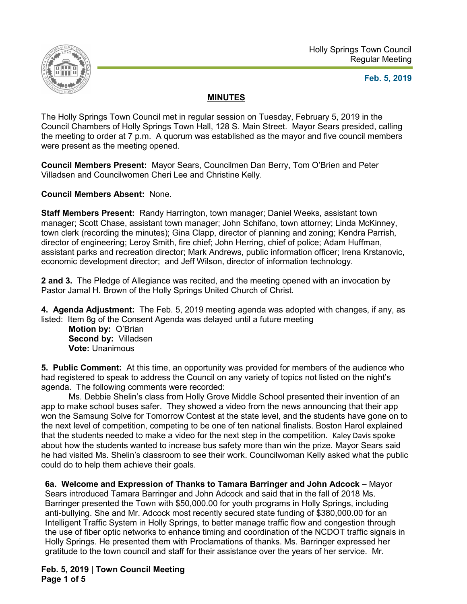

## **Feb. 5, 2019**

## **MINUTES**

The Holly Springs Town Council met in regular session on Tuesday, February 5, 2019 in the Council Chambers of Holly Springs Town Hall, 128 S. Main Street. Mayor Sears presided, calling the meeting to order at 7 p.m. A quorum was established as the mayor and five council members were present as the meeting opened.

**Council Members Present:** Mayor Sears, Councilmen Dan Berry, Tom O'Brien and Peter Villadsen and Councilwomen Cheri Lee and Christine Kelly.

**Council Members Absent:** None.

**Staff Members Present:** Randy Harrington, town manager; Daniel Weeks, assistant town manager; Scott Chase, assistant town manager; John Schifano, town attorney; Linda McKinney, town clerk (recording the minutes); Gina Clapp, director of planning and zoning; Kendra Parrish, director of engineering; Leroy Smith, fire chief; John Herring, chief of police; Adam Huffman, assistant parks and recreation director; Mark Andrews, public information officer; Irena Krstanovic, economic development director; and Jeff Wilson, director of information technology.

**2 and 3.** The Pledge of Allegiance was recited, and the meeting opened with an invocation by Pastor Jamal H. Brown of the Holly Springs United Church of Christ.

**4. Agenda Adjustment:** The Feb. 5, 2019 meeting agenda was adopted with changes, if any, as listed: Item 8g of the Consent Agenda was delayed until a future meeting

**Motion by:** O'Brian **Second by:** Villadsen **Vote:** Unanimous

**5. Public Comment:** At this time, an opportunity was provided for members of the audience who had registered to speak to address the Council on any variety of topics not listed on the night's agenda. The following comments were recorded:

Ms. Debbie Shelin's class from Holly Grove Middle School presented their invention of an app to make school buses safer. They showed a video from the news announcing that their app won the Samsung Solve for Tomorrow Contest at the state level, and the students have gone on to the next level of competition, competing to be one of ten national finalists. Boston Harol explained that the students needed to make a video for the next step in the competition. Kaley Davis spoke about how the students wanted to increase bus safety more than win the prize. Mayor Sears said he had visited Ms. Shelin's classroom to see their work. Councilwoman Kelly asked what the public could do to help them achieve their goals.

**6a. Welcome and Expression of Thanks to Tamara Barringer and John Adcock –** Mayor Sears introduced Tamara Barringer and John Adcock and said that in the fall of 2018 Ms. Barringer presented the Town with \$50,000.00 for youth programs in Holly Springs, including anti-bullying. She and Mr. Adcock most recently secured state funding of \$380,000.00 for an Intelligent Traffic System in Holly Springs, to better manage traffic flow and congestion through the use of fiber optic networks to enhance timing and coordination of the NCDOT traffic signals in Holly Springs. He presented them with Proclamations of thanks. Ms. Barringer expressed her gratitude to the town council and staff for their assistance over the years of her service. Mr.

**Feb. 5, 2019 | Town Council Meeting Page 1 of 5**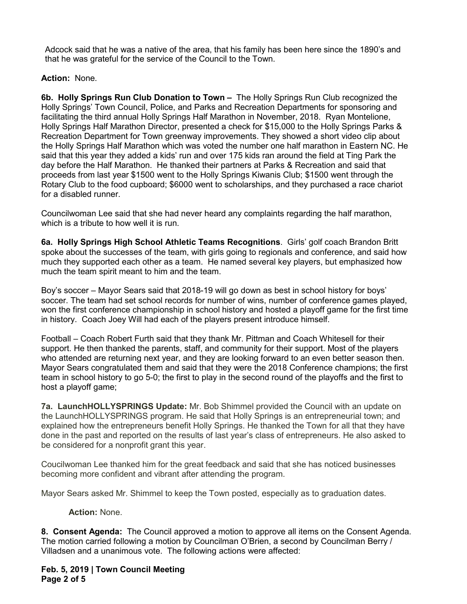Adcock said that he was a native of the area, that his family has been here since the 1890's and that he was grateful for the service of the Council to the Town.

**Action:** None.

**6b. Holly Springs Run Club Donation to Town –** The Holly Springs Run Club recognized the Holly Springs' Town Council, Police, and Parks and Recreation Departments for sponsoring and facilitating the third annual Holly Springs Half Marathon in November, 2018. Ryan Montelione, Holly Springs Half Marathon Director, presented a check for \$15,000 to the Holly Springs Parks & Recreation Department for Town greenway improvements. They showed a short video clip about the Holly Springs Half Marathon which was voted the number one half marathon in Eastern NC. He said that this year they added a kids' run and over 175 kids ran around the field at Ting Park the day before the Half Marathon. He thanked their partners at Parks & Recreation and said that proceeds from last year \$1500 went to the Holly Springs Kiwanis Club; \$1500 went through the Rotary Club to the food cupboard; \$6000 went to scholarships, and they purchased a race chariot for a disabled runner.

Councilwoman Lee said that she had never heard any complaints regarding the half marathon, which is a tribute to how well it is run.

**6a. Holly Springs High School Athletic Teams Recognitions**. Girls' golf coach Brandon Britt spoke about the successes of the team, with girls going to regionals and conference, and said how much they supported each other as a team. He named several key players, but emphasized how much the team spirit meant to him and the team.

Boy's soccer – Mayor Sears said that 2018-19 will go down as best in school history for boys' soccer. The team had set school records for number of wins, number of conference games played, won the first conference championship in school history and hosted a playoff game for the first time in history. Coach Joey Will had each of the players present introduce himself.

Football – Coach Robert Furth said that they thank Mr. Pittman and Coach Whitesell for their support. He then thanked the parents, staff, and community for their support. Most of the players who attended are returning next year, and they are looking forward to an even better season then. Mayor Sears congratulated them and said that they were the 2018 Conference champions; the first team in school history to go 5-0; the first to play in the second round of the playoffs and the first to host a playoff game;

**7a. LaunchHOLLYSPRINGS Update:** Mr. Bob Shimmel provided the Council with an update on the LaunchHOLLYSPRINGS program. He said that Holly Springs is an entrepreneurial town; and explained how the entrepreneurs benefit Holly Springs. He thanked the Town for all that they have done in the past and reported on the results of last year's class of entrepreneurs. He also asked to be considered for a nonprofit grant this year.

Coucilwoman Lee thanked him for the great feedback and said that she has noticed businesses becoming more confident and vibrant after attending the program.

Mayor Sears asked Mr. Shimmel to keep the Town posted, especially as to graduation dates.

**Action:** None.

**8. Consent Agenda:** The Council approved a motion to approve all items on the Consent Agenda. The motion carried following a motion by Councilman O'Brien, a second by Councilman Berry / Villadsen and a unanimous vote. The following actions were affected:

**Feb. 5, 2019 | Town Council Meeting Page 2 of 5**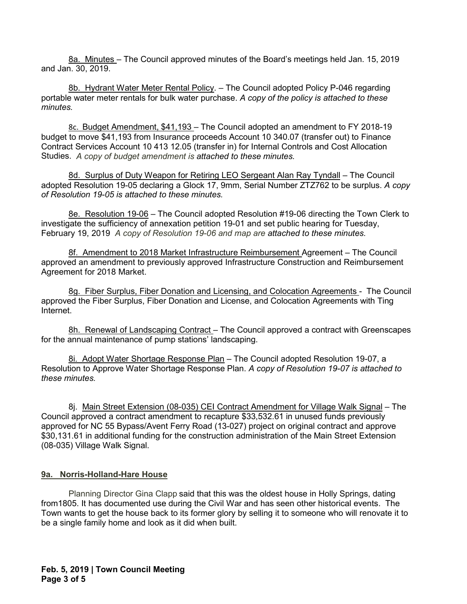8a. Minutes – The Council approved minutes of the Board's meetings held Jan. 15, 2019 and Jan. 30, 2019.

8b. Hydrant Water Meter Rental Policy. - The Council adopted Policy P-046 regarding portable water meter rentals for bulk water purchase. *A copy of the policy is attached to these minutes.*

8c. Budget Amendment, \$41,193 – The Council adopted an amendment to FY 2018-19 budget to move \$41,193 from Insurance proceeds Account 10 340.07 (transfer out) to Finance Contract Services Account 10 413 12.05 (transfer in) for Internal Controls and Cost Allocation Studies. *A copy of budget amendment is attached to these minutes.* 

8d. Surplus of Duty Weapon for Retiring LEO Sergeant Alan Ray Tyndall – The Council adopted Resolution 19-05 declaring a Glock 17, 9mm, Serial Number ZTZ762 to be surplus. *A copy of Resolution 19-05 is attached to these minutes.*

8e. Resolution 19-06 – The Council adopted Resolution #19-06 directing the Town Clerk to investigate the sufficiency of annexation petition 19-01 and set public hearing for Tuesday, February 19, 2019 *A copy of Resolution 19-06 and map are attached to these minutes.*

8f. Amendment to 2018 Market Infrastructure Reimbursement Agreement – The Council approved an amendment to previously approved Infrastructure Construction and Reimbursement Agreement for 2018 Market.

8g. Fiber Surplus, Fiber Donation and Licensing, and Colocation Agreements - The Council approved the Fiber Surplus, Fiber Donation and License, and Colocation Agreements with Ting Internet.

8h. Renewal of Landscaping Contract - The Council approved a contract with Greenscapes for the annual maintenance of pump stations' landscaping.

8i. Adopt Water Shortage Response Plan - The Council adopted Resolution 19-07, a Resolution to Approve Water Shortage Response Plan. *A copy of Resolution 19-07 is attached to these minutes.*

8j. Main Street Extension (08-035) CEI Contract Amendment for Village Walk Signal – The Council approved a contract amendment to recapture \$33,532.61 in unused funds previously approved for NC 55 Bypass/Avent Ferry Road (13-027) project on original contract and approve \$30,131.61 in additional funding for the construction administration of the Main Street Extension (08-035) Village Walk Signal.

## **9a. Norris-Holland-Hare House**

Planning Director Gina Clapp said that this was the oldest house in Holly Springs, dating from1805. It has documented use during the Civil War and has seen other historical events. The Town wants to get the house back to its former glory by selling it to someone who will renovate it to be a single family home and look as it did when built.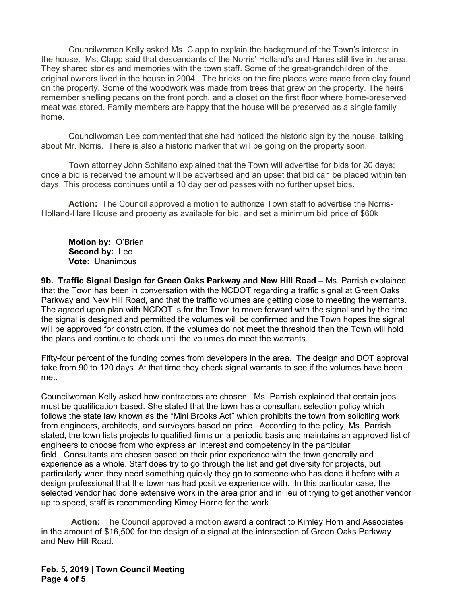Councilwoman Kelly asked Ms. Clapp to explain the background of the Town's interest in the house. Ms. Clapp said that descendants of the Norris' Holland's and Hares still live in the area. They shared stories and memories with the town staff. Some of the great-grandchildren of the original owners lived in the house in 2004. The bricks on the fire places were made from clay found on the property. Some of the woodwork was made from trees that grew on the property. The heirs remember shelling pecans on the front porch, and a closet on the first floor where home-preserved meat was stored. Family members are happy that the house will be preserved as a single family home.

Councilwoman Lee commented that she had noticed the historic sign by the house, talking about Mr. Norris. There is also a historic marker that will be going on the property soon.

Town attorney John Schifano explained that the Town will advertise for bids for 30 days; once a bid is received the amount will be advertised and an upset that bid can be placed within ten days. This process continues until a 10 day period passes with no further upset bids.

**Action:** The Council approved a motion to authorize Town staff to advertise the Norris-Holland-Hare House and property as available for bid, and set a minimum bid price of \$60k

**Motion by:** O'Brien **Second by:** Lee **Vote:** Unanimous

**9b. Traffic Signal Design for Green Oaks Parkway and New Hill Road –** Ms. Parrish explained that the Town has been in conversation with the NCDOT regarding a traffic signal at Green Oaks Parkway and New Hill Road, and that the traffic volumes are getting close to meeting the warrants. The agreed upon plan with NCDOT is for the Town to move forward with the signal and by the time the signal is designed and permitted the volumes will be confirmed and the Town hopes the signal will be approved for construction. If the volumes do not meet the threshold then the Town will hold the plans and continue to check until the volumes do meet the warrants.

Fifty-four percent of the funding comes from developers in the area. The design and DOT approval take from 90 to 120 days. At that time they check signal warrants to see if the volumes have been met.

Councilwoman Kelly asked how contractors are chosen. Ms. Parrish explained that certain jobs must be qualification based. She stated that the town has a consultant selection policy which follows the state law known as the "Mini Brooks Act" which prohibits the town from soliciting work from engineers, architects, and surveyors based on price. According to the policy, Ms. Parrish stated, the town lists projects to qualified firms on a periodic basis and maintains an approved list of engineers to choose from who express an interest and competency in the particular field. Consultants are chosen based on their prior experience with the town generally and experience as a whole. Staff does try to go through the list and get diversity for projects, but particularly when they need something quickly they go to someone who has done it before with a design professional that the town has had positive experience with. In this particular case, the selected vendor had done extensive work in the area prior and in lieu of trying to get another vendor up to speed, staff is recommending Kimey Horne for the work.

**Action:** The Council approved a motion award a contract to Kimley Horn and Associates in the amount of \$16,500 for the design of a signal at the intersection of Green Oaks Parkway and New Hill Road.

**Feb. 5, 2019 | Town Council Meeting Page 4 of 5**